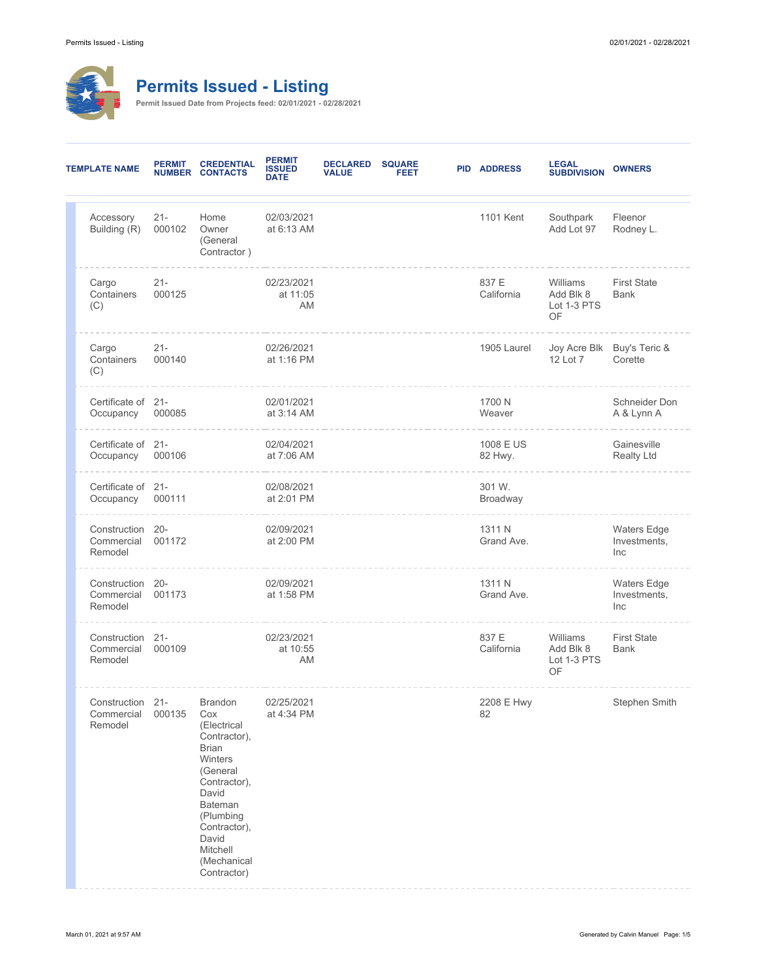

## **Permits Issued - Listing**

**Permit Issued Date from Projects feed: 02/01/2021 - 02/28/2021**

| <b>TEMPLATE NAME</b> |                                           | <b>PERMIT</b>    | <b>CREDENTIAL</b><br><b>NUMBER CONTACTS</b>                                                                                                                                                                                   | <b>PERMIT</b><br><b>ISSUED</b><br><b>DATE</b> | <b>DECLARED</b><br><b>VALUE</b> | <b>SQUARE</b><br><b>FEET</b> | <b>PID ADDRESS</b>   | <b>LEGAL<br/>SUBDIVISION</b>               | <b>OWNERS</b>                             |
|----------------------|-------------------------------------------|------------------|-------------------------------------------------------------------------------------------------------------------------------------------------------------------------------------------------------------------------------|-----------------------------------------------|---------------------------------|------------------------------|----------------------|--------------------------------------------|-------------------------------------------|
|                      | Accessory<br>Building (R)                 | $21 -$<br>000102 | Home<br>Owner<br>(General<br>Contractor)                                                                                                                                                                                      | 02/03/2021<br>at 6:13 AM                      |                                 |                              | 1101 Kent            | Southpark<br>Add Lot 97                    | Fleenor<br>Rodney L.                      |
|                      | Cargo<br>Containers<br>(C)                | $21 -$<br>000125 |                                                                                                                                                                                                                               | 02/23/2021<br>at 11:05<br>AM                  |                                 |                              | 837 E<br>California  | Williams<br>Add Blk 8<br>Lot 1-3 PTS<br>OF | <b>First State</b><br><b>Bank</b>         |
|                      | Cargo<br>Containers<br>(C)                | $21 -$<br>000140 |                                                                                                                                                                                                                               | 02/26/2021<br>at 1:16 PM                      |                                 |                              | 1905 Laurel          | 12 Lot 7                                   | Joy Acre Blk Buy's Teric &<br>Corette     |
|                      | Certificate of 21-<br>Occupancy           | 000085           |                                                                                                                                                                                                                               | 02/01/2021<br>at 3:14 AM                      |                                 |                              | 1700 N<br>Weaver     |                                            | Schneider Don<br>A & Lynn A               |
|                      | Certificate of 21-<br>Occupancy           | 000106           |                                                                                                                                                                                                                               | 02/04/2021<br>at 7:06 AM                      |                                 |                              | 1008 E US<br>82 Hwy. |                                            | Gainesville<br><b>Realty Ltd</b>          |
|                      | Certificate of 21-<br>Occupancy           | 000111           |                                                                                                                                                                                                                               | 02/08/2021<br>at 2:01 PM                      |                                 |                              | 301 W.<br>Broadway   |                                            |                                           |
|                      | Construction 20-<br>Commercial<br>Remodel | 001172           |                                                                                                                                                                                                                               | 02/09/2021<br>at 2:00 PM                      |                                 |                              | 1311 N<br>Grand Ave. |                                            | Waters Edge<br>Investments,<br>Inc        |
|                      | Construction 20-<br>Commercial<br>Remodel | 001173           |                                                                                                                                                                                                                               | 02/09/2021<br>at 1:58 PM                      |                                 |                              | 1311 N<br>Grand Ave. |                                            | <b>Waters Edge</b><br>Investments,<br>Inc |
|                      | Construction 21-<br>Commercial<br>Remodel | 000109           |                                                                                                                                                                                                                               | 02/23/2021<br>at 10:55<br>AM                  |                                 |                              | 837 E<br>California  | Williams<br>Add Blk 8<br>Lot 1-3 PTS<br>OF | <b>First State</b><br><b>Bank</b>         |
|                      | Construction 21-<br>Commercial<br>Remodel | 000135           | <b>Brandon</b><br>Cox<br>(Electrical<br>Contractor),<br><b>Brian</b><br><b>Winters</b><br>(General<br>Contractor),<br>David<br><b>Bateman</b><br>(Plumbing<br>Contractor),<br>David<br>Mitchell<br>(Mechanical<br>Contractor) | 02/25/2021<br>at 4:34 PM                      |                                 |                              | 2208 E Hwy<br>82     |                                            | Stephen Smith                             |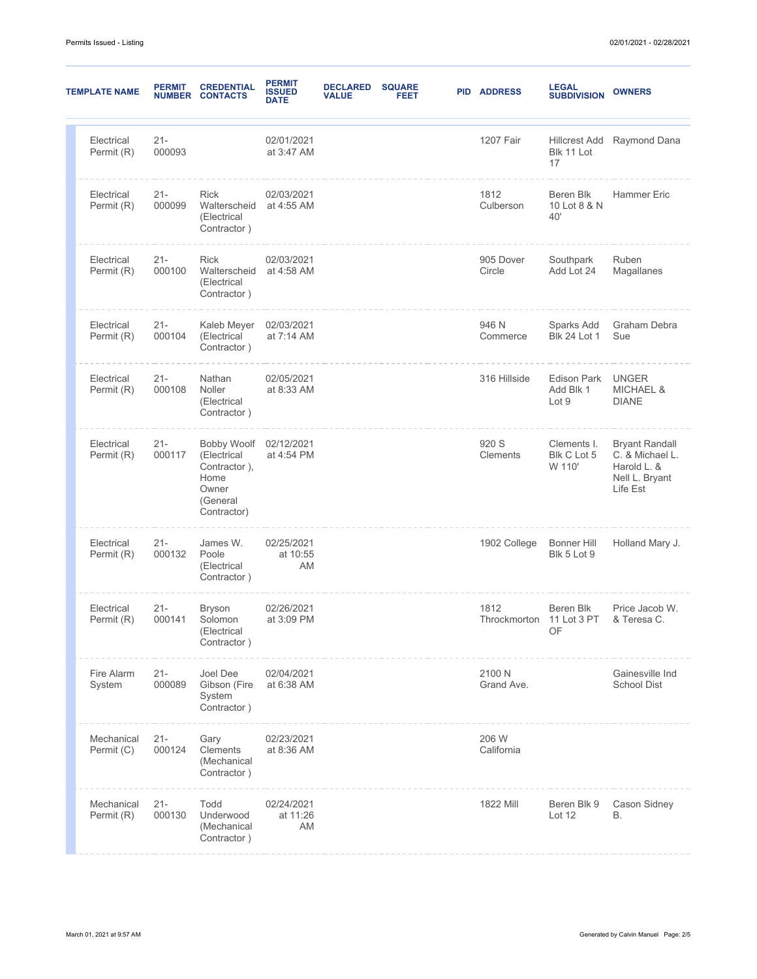| <b>TEMPLATE NAME</b>     | <b>PERMIT</b><br><b>NUMBER</b> | <b>CREDENTIAL</b><br><b>CONTACTS</b>                                                   | <b>PERMIT</b><br><b>ISSUED</b><br><b>DATE</b> | <b>DECLARED</b><br><b>VALUE</b> | <b>SQUARE</b><br>FEET | <b>PID ADDRESS</b>               | <b>LEGAL</b><br><b>SUBDIVISION</b>       | <b>OWNERS</b>                                                                         |
|--------------------------|--------------------------------|----------------------------------------------------------------------------------------|-----------------------------------------------|---------------------------------|-----------------------|----------------------------------|------------------------------------------|---------------------------------------------------------------------------------------|
| Electrical<br>Permit (R) | $21 -$<br>000093               |                                                                                        | 02/01/2021<br>at 3:47 AM                      |                                 |                       | 1207 Fair                        | Hillcrest Add<br>Blk 11 Lot<br>17        | Raymond Dana                                                                          |
| Electrical<br>Permit (R) | $21 -$<br>000099               | <b>Rick</b><br>Walterscheid<br>(Electrical<br>Contractor)                              | 02/03/2021<br>at 4:55 AM                      |                                 |                       | 1812<br>Culberson                | Beren Blk<br>10 Lot 8 & N<br>40'         | <b>Hammer Eric</b>                                                                    |
| Electrical<br>Permit (R) | $21 -$<br>000100               | <b>Rick</b><br>Walterscheid<br>(Electrical<br>Contractor)                              | 02/03/2021<br>at 4:58 AM                      |                                 |                       | 905 Dover<br>Circle              | Southpark<br>Add Lot 24                  | Ruben<br>Magallanes                                                                   |
| Electrical<br>Permit (R) | $21 -$<br>000104               | Kaleb Meyer<br>(Electrical<br>Contractor)                                              | 02/03/2021<br>at 7:14 AM                      |                                 |                       | 946 N<br>Commerce                | Sparks Add<br><b>Blk 24 Lot 1</b>        | Graham Debra<br>Sue                                                                   |
| Electrical<br>Permit (R) | $21 -$<br>000108               | Nathan<br>Noller<br>(Electrical<br>Contractor)                                         | 02/05/2021<br>at 8:33 AM                      |                                 |                       | 316 Hillside                     | <b>Edison Park</b><br>Add Blk 1<br>Lot 9 | <b>UNGER</b><br><b>MICHAEL &amp;</b><br><b>DIANE</b>                                  |
| Electrical<br>Permit (R) | $21 -$<br>000117               | Bobby Woolf<br>(Electrical<br>Contractor),<br>Home<br>Owner<br>(General<br>Contractor) | 02/12/2021<br>at 4:54 PM                      |                                 |                       | 920 S<br>Clements                | Clements I.<br>Blk C Lot 5<br>W 110'     | <b>Bryant Randall</b><br>C. & Michael L.<br>Harold L. &<br>Nell L. Bryant<br>Life Est |
| Electrical<br>Permit (R) | $21 -$<br>000132               | James W.<br>Poole<br>(Electrical<br>Contractor)                                        | 02/25/2021<br>at 10:55<br>AM                  |                                 |                       | 1902 College                     | <b>Bonner Hill</b><br>Blk 5 Lot 9        | Holland Mary J.                                                                       |
| Electrical<br>Permit (R) | $21 -$<br>000141               | <b>Bryson</b><br>Solomon<br>(Electrical<br>Contractor)                                 | 02/26/2021<br>at 3:09 PM                      |                                 |                       | 1812<br>Throckmorton 11 Lot 3 PT | Beren Blk<br>OF                          | Price Jacob W.<br>& Teresa C.                                                         |
| Fire Alarm<br>System     | $21 -$<br>000089               | Joel Dee<br>Gibson (Fire<br>System<br>Contractor)                                      | 02/04/2021<br>at 6:38 AM                      |                                 |                       | 2100 N<br>Grand Ave.             |                                          | Gainesville Ind<br><b>School Dist</b>                                                 |
| Mechanical<br>Permit (C) | $21 -$<br>000124               | Gary<br><b>Clements</b><br>(Mechanical<br>Contractor)                                  | 02/23/2021<br>at 8:36 AM                      |                                 |                       | 206 W<br>California              |                                          |                                                                                       |
| Mechanical<br>Permit (R) | $21 -$<br>000130               | Todd<br>Underwood<br>(Mechanical<br>Contractor)                                        | 02/24/2021<br>at 11:26<br>AM                  |                                 |                       | 1822 Mill                        | Beren Blk 9<br>Lot 12                    | Cason Sidney<br>В.                                                                    |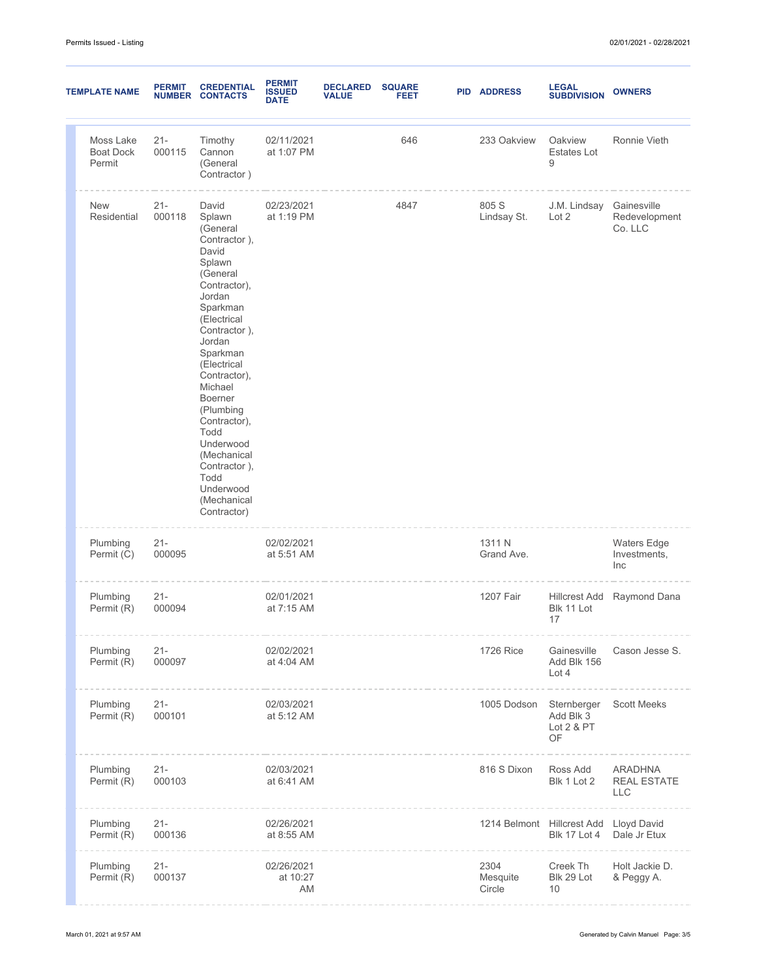| <b>TEMPLATE NAME</b>                    | <b>PERMIT</b><br><b>NUMBER</b> | <b>CREDENTIAL</b><br><b>CONTACTS</b>                                                                                                                                                                                                                                                                                                                           | <b>PERMIT</b><br><b>ISSUED</b><br><b>DATE</b> | <b>DECLARED</b><br><b>VALUE</b> | <b>SQUARE</b><br>FEET | <b>PID ADDRESS</b>                     | <b>LEGAL</b><br><b>SUBDIVISION</b>                       | <b>OWNERS</b>                                      |
|-----------------------------------------|--------------------------------|----------------------------------------------------------------------------------------------------------------------------------------------------------------------------------------------------------------------------------------------------------------------------------------------------------------------------------------------------------------|-----------------------------------------------|---------------------------------|-----------------------|----------------------------------------|----------------------------------------------------------|----------------------------------------------------|
| Moss Lake<br><b>Boat Dock</b><br>Permit | $21 -$<br>000115               | Timothy<br>Cannon<br>(General<br>Contractor)                                                                                                                                                                                                                                                                                                                   | 02/11/2021<br>at 1:07 PM                      |                                 | 646                   | 233 Oakview                            | Oakview<br><b>Estates Lot</b><br>9                       | Ronnie Vieth                                       |
| <b>New</b><br>Residential               | $21 -$<br>000118               | David<br>Splawn<br>(General<br>Contractor),<br>David<br>Splawn<br>(General<br>Contractor),<br>Jordan<br>Sparkman<br>(Electrical<br>Contractor),<br>Jordan<br>Sparkman<br>(Electrical<br>Contractor),<br>Michael<br>Boerner<br>(Plumbing<br>Contractor),<br>Todd<br>Underwood<br>(Mechanical<br>Contractor),<br>Todd<br>Underwood<br>(Mechanical<br>Contractor) | 02/23/2021<br>at 1:19 PM                      |                                 | 4847                  | 805 S<br>Lindsay St.                   | J.M. Lindsay<br>Lot 2                                    | Gainesville<br>Redevelopment<br>Co. LLC            |
| Plumbing<br>Permit (C)                  | $21 -$<br>000095               |                                                                                                                                                                                                                                                                                                                                                                | 02/02/2021<br>at 5:51 AM                      |                                 |                       | 1311 N<br>Grand Ave.                   |                                                          | Waters Edge<br>Investments,<br>Inc                 |
| Plumbing<br>Permit (R)                  | $21 -$<br>000094               |                                                                                                                                                                                                                                                                                                                                                                | 02/01/2021<br>at 7:15 AM                      |                                 |                       | 1207 Fair                              | Blk 11 Lot<br>17                                         | Hillcrest Add Raymond Dana                         |
| Plumbing<br>Permit (R)                  | $21 -$<br>000097               |                                                                                                                                                                                                                                                                                                                                                                | 02/02/2021<br>at 4:04 AM                      |                                 |                       | <b>1726 Rice</b>                       | Gainesville<br>Add Blk 156<br>Lot 4                      | Cason Jesse S.                                     |
| Plumbing<br>Permit (R)                  | $21 -$<br>000101               |                                                                                                                                                                                                                                                                                                                                                                | 02/03/2021<br>at 5:12 AM                      |                                 |                       | 1005 Dodson                            | Sternberger Scott Meeks<br>Add Blk 3<br>Lot 2 & PT<br>OF |                                                    |
| Plumbing<br>Permit (R)                  | $21 -$<br>000103               |                                                                                                                                                                                                                                                                                                                                                                | 02/03/2021<br>at 6:41 AM                      |                                 |                       | 816 S Dixon                            | Ross Add<br>Blk 1 Lot 2                                  | <b>ARADHNA</b><br><b>REAL ESTATE</b><br><b>LLC</b> |
| Plumbing<br>Permit (R)                  | $21 -$<br>000136               |                                                                                                                                                                                                                                                                                                                                                                | 02/26/2021<br>at 8:55 AM                      |                                 |                       | 1214 Belmont Hillcrest Add Lloyd David | <b>Blk 17 Lot 4</b>                                      | Dale Jr Etux                                       |
| Plumbing<br>Permit (R)                  | $21 -$<br>000137               |                                                                                                                                                                                                                                                                                                                                                                | 02/26/2021<br>at 10:27<br>AM                  |                                 |                       | 2304<br>Mesquite<br>Circle             | Creek Th<br>Blk 29 Lot<br>10                             | Holt Jackie D.<br>& Peggy A.                       |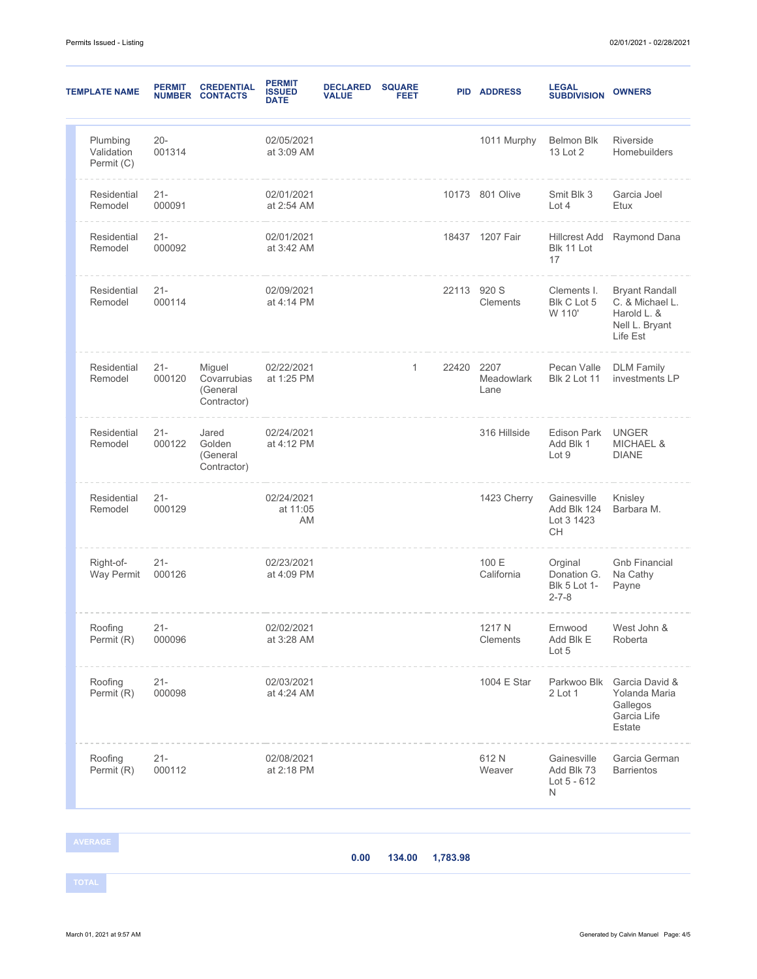| <b>TEMPLATE NAME</b>                 | <b>PERMIT</b>    | <b>CREDENTIAL</b><br><b>NUMBER CONTACTS</b>      | <b>PERMIT</b><br><b>ISSUED</b><br><b>DATE</b> | <b>DECLARED</b><br><b>VALUE</b> | <b>SQUARE</b><br>FEET |             | <b>PID ADDRESS</b>  | <b>LEGAL</b><br><b>SUBDIVISION</b>                           | <b>OWNERS</b>                                                                         |
|--------------------------------------|------------------|--------------------------------------------------|-----------------------------------------------|---------------------------------|-----------------------|-------------|---------------------|--------------------------------------------------------------|---------------------------------------------------------------------------------------|
| Plumbing<br>Validation<br>Permit (C) | $20 -$<br>001314 |                                                  | 02/05/2021<br>at 3:09 AM                      |                                 |                       |             | 1011 Murphy         | <b>Belmon Blk</b><br>13 Lot 2                                | Riverside<br>Homebuilders                                                             |
| Residential<br>Remodel               | $21 -$<br>000091 |                                                  | 02/01/2021<br>at 2:54 AM                      |                                 |                       |             | 10173 801 Olive     | Smit Blk 3<br>Lot 4                                          | Garcia Joel<br>Etux                                                                   |
| Residential<br>Remodel               | $21 -$<br>000092 |                                                  | 02/01/2021<br>at 3:42 AM                      |                                 |                       |             | 18437 1207 Fair     | <b>Hillcrest Add</b><br>Blk 11 Lot<br>17                     | Raymond Dana                                                                          |
| Residential<br>Remodel               | $21 -$<br>000114 |                                                  | 02/09/2021<br>at 4:14 PM                      |                                 |                       | 22113 920 S | Clements            | Clements I.<br>Blk C Lot 5<br>W 110'                         | <b>Bryant Randall</b><br>C. & Michael L.<br>Harold L. &<br>Nell L. Bryant<br>Life Est |
| Residential<br>Remodel               | $21 -$<br>000120 | Miguel<br>Covarrubias<br>(General<br>Contractor) | 02/22/2021<br>at 1:25 PM                      |                                 | 1                     | 22420 2207  | Meadowlark<br>Lane  | Pecan Valle<br><b>Blk 2 Lot 11</b>                           | <b>DLM Family</b><br>investments LP                                                   |
| Residential<br>Remodel               | $21 -$<br>000122 | Jared<br>Golden<br>(General<br>Contractor)       | 02/24/2021<br>at 4:12 PM                      |                                 |                       |             | 316 Hillside        | Edison Park<br>Add Blk 1<br>Lot 9                            | <b>UNGER</b><br><b>MICHAEL &amp;</b><br><b>DIANE</b>                                  |
| Residential<br>Remodel               | $21 -$<br>000129 |                                                  | 02/24/2021<br>at 11:05<br>AM                  |                                 |                       |             | 1423 Cherry         | Gainesville<br>Add Blk 124<br>Lot 3 1423<br>СH               | Knisley<br>Barbara M.                                                                 |
| Right-of-<br>Way Permit              | $21 -$<br>000126 |                                                  | 02/23/2021<br>at 4:09 PM                      |                                 |                       |             | 100 E<br>California | Orginal<br>Donation G.<br><b>Blk 5 Lot 1-</b><br>$2 - 7 - 8$ | <b>Gnb Financial</b><br>Na Cathy<br>Payne                                             |
| Roofing<br>Permit (R)                | 21-<br>000096    |                                                  | 02/02/2021<br>at 3:28 AM                      |                                 |                       |             | 1217 N<br>Clements  | Ernwood<br>Add Blk E<br>Lot 5                                | West John &<br>Roberta                                                                |
| Roofing<br>Permit (R)                | $21 -$<br>000098 |                                                  | 02/03/2021<br>at 4:24 AM                      |                                 |                       |             | 1004 E Star         | Parkwoo Blk<br>2 Lot 1                                       | Garcia David &<br>Yolanda Maria<br>Gallegos<br>Garcia Life<br>Estate                  |
| Roofing<br>Permit (R)                | $21 -$<br>000112 |                                                  | 02/08/2021<br>at 2:18 PM                      |                                 |                       |             | 612N<br>Weaver      | Gainesville<br>Add Blk 73<br>Lot $5 - 612$<br>N              | Garcia German<br><b>Barrientos</b>                                                    |

**0.00 134.00 1,783.98**